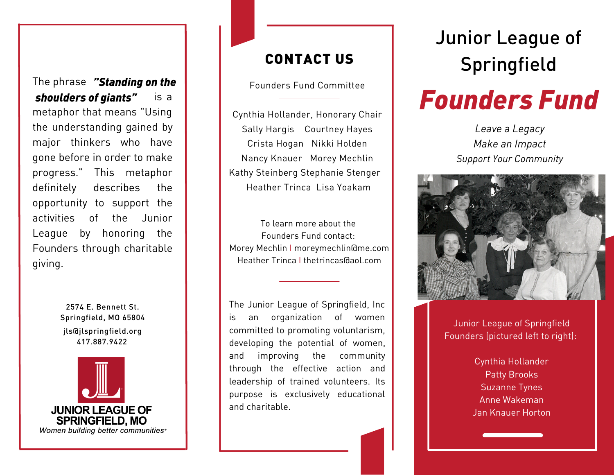The phrase *"Standing on the* is a metaphor that means "Using the understanding gained by major thinkers who have gone before in order to make progress." This metaphor definitely describes the opportunity to support the activities of the Junior League by honoring the Founders through charitable giving. *shoulders of giants"*

> 2574 E. Bennett St. Springfield, MO 65804 417.887.9422 jls@jlspringfield.org



## CONTACT US

Founders Fund Committee

Cynthia Hollander, Honorary Chair Sally Hargis Courtney Hayes Crista Hogan Nikki Holden Nancy Knauer Morey Mechlin Kathy Steinberg Stephanie Stenger Heather Trinca Lisa Yoakam

To learn more about the Founders Fund contact: Morey Mechlin I moreymechlin@me.com Heather Trinca I thetrincas@aol.com

The Junior League of Springfield, Inc is an organization of women committed to promoting voluntarism, developing the potential of women, and improving the community through the effective action and leadership of trained volunteers. Its purpose is exclusively educational and charitable.

# Junior League of **Springfield**

# *Founders Fund*

*Leave a Legacy Make an Impact Support Your Community*



Junior League of Springfield Founders (pictured left to right):

> Cynthia Hollander Patty Brooks Suzanne Tynes Anne Wakeman Jan Knauer Horton